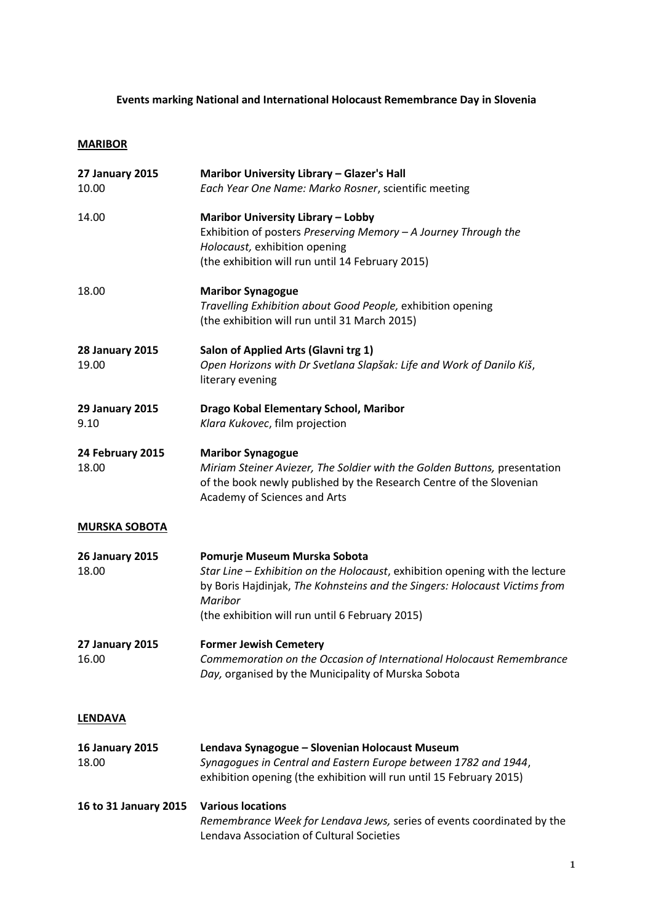# **Events marking National and International Holocaust Remembrance Day in Slovenia**

# **MARIBOR**

| <b>27 January 2015</b><br>10.00 | Maribor University Library - Glazer's Hall<br>Each Year One Name: Marko Rosner, scientific meeting                                                                                                                                                       |  |
|---------------------------------|----------------------------------------------------------------------------------------------------------------------------------------------------------------------------------------------------------------------------------------------------------|--|
| 14.00                           | <b>Maribor University Library - Lobby</b><br>Exhibition of posters Preserving Memory - A Journey Through the<br>Holocaust, exhibition opening<br>(the exhibition will run until 14 February 2015)                                                        |  |
| 18.00                           | <b>Maribor Synagogue</b><br>Travelling Exhibition about Good People, exhibition opening<br>(the exhibition will run until 31 March 2015)                                                                                                                 |  |
| <b>28 January 2015</b><br>19.00 | Salon of Applied Arts (Glavni trg 1)<br>Open Horizons with Dr Svetlana Slapšak: Life and Work of Danilo Kiš,<br>literary evening                                                                                                                         |  |
| <b>29 January 2015</b><br>9.10  | Drago Kobal Elementary School, Maribor<br>Klara Kukovec, film projection                                                                                                                                                                                 |  |
| 24 February 2015<br>18.00       | <b>Maribor Synagogue</b><br>Miriam Steiner Aviezer, The Soldier with the Golden Buttons, presentation<br>of the book newly published by the Research Centre of the Slovenian<br>Academy of Sciences and Arts                                             |  |
| <b>MURSKA SOBOTA</b>            |                                                                                                                                                                                                                                                          |  |
| <b>26 January 2015</b><br>18.00 | Pomurje Museum Murska Sobota<br>Star Line - Exhibition on the Holocaust, exhibition opening with the lecture<br>by Boris Hajdinjak, The Kohnsteins and the Singers: Holocaust Victims from<br>Maribor<br>(the exhibition will run until 6 February 2015) |  |
| <b>27 January 2015</b><br>16.00 | <b>Former Jewish Cemetery</b><br>Commemoration on the Occasion of International Holocaust Remembrance<br>Day, organised by the Municipality of Murska Sobota                                                                                             |  |
| <b>LENDAVA</b>                  |                                                                                                                                                                                                                                                          |  |
| <b>16 January 2015</b><br>18.00 | Lendava Synagogue - Slovenian Holocaust Museum<br>Synagogues in Central and Eastern Europe between 1782 and 1944,<br>exhibition opening (the exhibition will run until 15 February 2015)                                                                 |  |
| 16 to 31 January 2015           | <b>Various locations</b><br>Remembrance Week for Lendava Jews, series of events coordinated by the<br>Lendava Association of Cultural Societies                                                                                                          |  |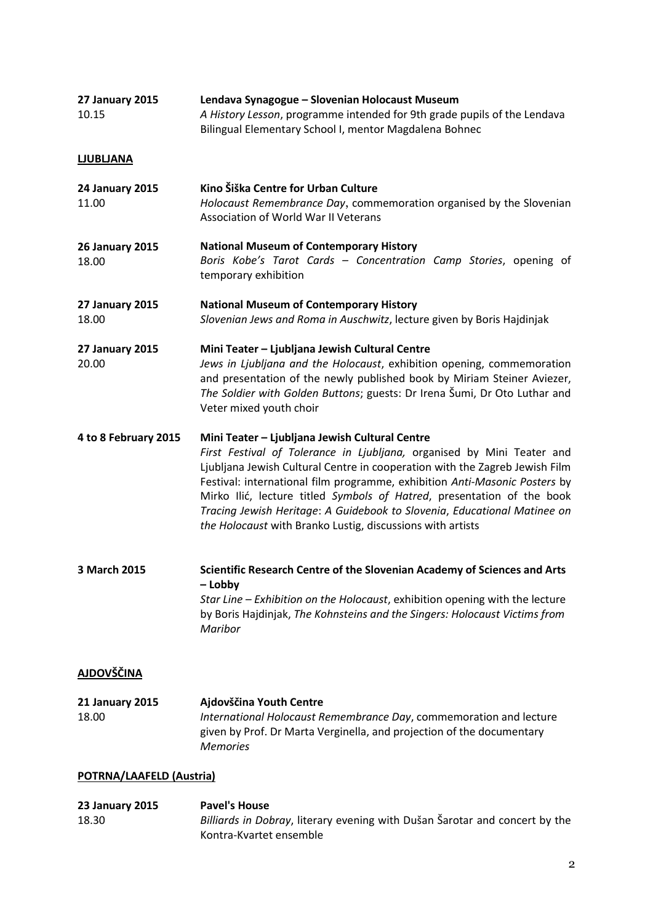| <b>27 January 2015</b><br>10.15 | Lendava Synagogue - Slovenian Holocaust Museum<br>A History Lesson, programme intended for 9th grade pupils of the Lendava<br>Bilingual Elementary School I, mentor Magdalena Bohnec                                                                                                                                                                                                                                                                                                                      |  |
|---------------------------------|-----------------------------------------------------------------------------------------------------------------------------------------------------------------------------------------------------------------------------------------------------------------------------------------------------------------------------------------------------------------------------------------------------------------------------------------------------------------------------------------------------------|--|
| <b>LJUBLJANA</b>                |                                                                                                                                                                                                                                                                                                                                                                                                                                                                                                           |  |
| <b>24 January 2015</b><br>11.00 | Kino Šiška Centre for Urban Culture<br>Holocaust Remembrance Day, commemoration organised by the Slovenian<br><b>Association of World War II Veterans</b>                                                                                                                                                                                                                                                                                                                                                 |  |
| <b>26 January 2015</b><br>18.00 | <b>National Museum of Contemporary History</b><br>Boris Kobe's Tarot Cards - Concentration Camp Stories, opening of<br>temporary exhibition                                                                                                                                                                                                                                                                                                                                                               |  |
| <b>27 January 2015</b><br>18.00 | <b>National Museum of Contemporary History</b><br>Slovenian Jews and Roma in Auschwitz, lecture given by Boris Hajdinjak                                                                                                                                                                                                                                                                                                                                                                                  |  |
| <b>27 January 2015</b><br>20.00 | Mini Teater - Ljubljana Jewish Cultural Centre<br>Jews in Ljubljana and the Holocaust, exhibition opening, commemoration<br>and presentation of the newly published book by Miriam Steiner Aviezer,<br>The Soldier with Golden Buttons; guests: Dr Irena Šumi, Dr Oto Luthar and<br>Veter mixed youth choir                                                                                                                                                                                               |  |
| 4 to 8 February 2015            | Mini Teater - Ljubljana Jewish Cultural Centre<br>First Festival of Tolerance in Ljubljana, organised by Mini Teater and<br>Ljubljana Jewish Cultural Centre in cooperation with the Zagreb Jewish Film<br>Festival: international film programme, exhibition Anti-Masonic Posters by<br>Mirko Ilić, lecture titled Symbols of Hatred, presentation of the book<br>Tracing Jewish Heritage: A Guidebook to Slovenia, Educational Matinee on<br>the Holocaust with Branko Lustig, discussions with artists |  |
| 3 March 2015                    | Scientific Research Centre of the Slovenian Academy of Sciences and Arts<br>- Lobby<br>Star Line - Exhibition on the Holocaust, exhibition opening with the lecture<br>by Boris Hajdinjak, The Kohnsteins and the Singers: Holocaust Victims from<br>Maribor                                                                                                                                                                                                                                              |  |
| <b>AJDOVŠČINA</b>               |                                                                                                                                                                                                                                                                                                                                                                                                                                                                                                           |  |
| <b>21 January 2015</b><br>18.00 | Ajdovščina Youth Centre<br>International Holocaust Remembrance Day, commemoration and lecture<br>given by Prof. Dr Marta Verginella, and projection of the documentary<br><b>Memories</b>                                                                                                                                                                                                                                                                                                                 |  |
| POTRNA/LAAFELD (Austria)        |                                                                                                                                                                                                                                                                                                                                                                                                                                                                                                           |  |
| <b>23 January 2015</b><br>18.30 | <b>Pavel's House</b><br>Billiards in Dobray, literary evening with Dušan Šarotar and concert by the<br>Kontra-Kvartet ensemble                                                                                                                                                                                                                                                                                                                                                                            |  |